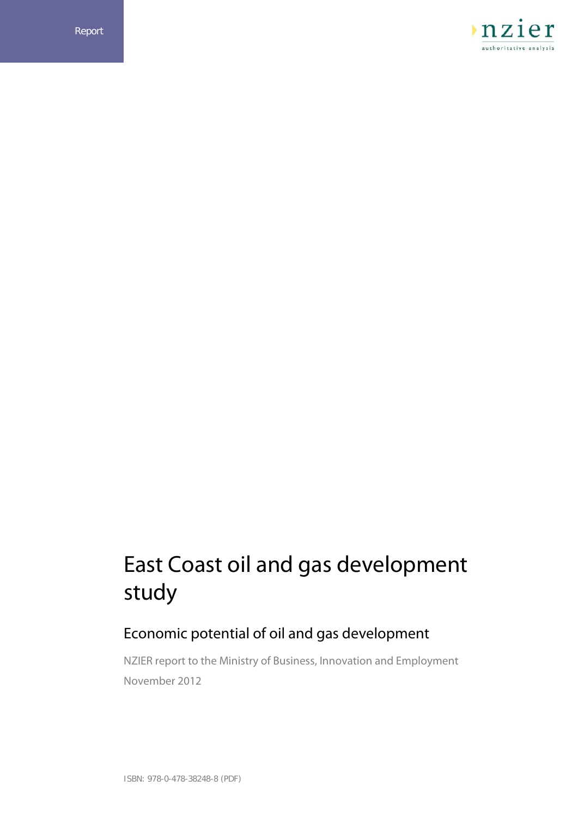

# East Coast oil and gas development study

# Economic potential of oil and gas development

NZIER report to the Ministry of Business, Innovation and Employment November 2012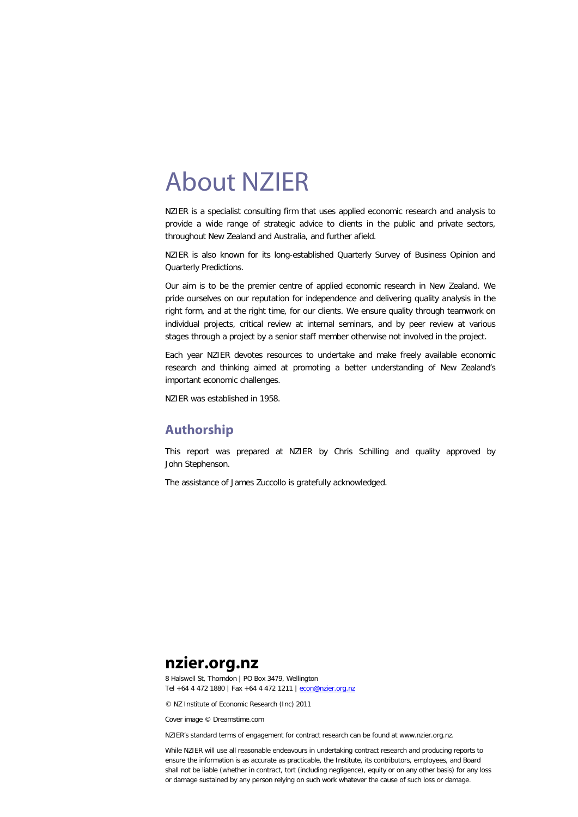# About NZIER

NZIER is a specialist consulting firm that uses applied economic research and analysis to provide a wide range of strategic advice to clients in the public and private sectors, throughout New Zealand and Australia, and further afield.

NZIER is also known for its long-established Quarterly Survey of Business Opinion and Quarterly Predictions.

Our aim is to be the premier centre of applied economic research in New Zealand. We pride ourselves on our reputation for independence and delivering quality analysis in the right form, and at the right time, for our clients. We ensure quality through teamwork on individual projects, critical review at internal seminars, and by peer review at various stages through a project by a senior staff member otherwise not involved in the project.

Each year NZIER devotes resources to undertake and make freely available economic research and thinking aimed at promoting a better understanding of New Zealand's important economic challenges.

NZIER was established in 1958.

## **Authorship**

This report was prepared at NZIER by Chris Schilling and quality approved by John Stephenson.

The assistance of James Zuccollo is gratefully acknowledged.

# **nzier.org.nz**

8 Halswell St, Thorndon | PO Box 3479, Wellington Tel +64 4 472 1880 | Fax +64 4 472 1211 [| econ@nzier.org.nz](mailto:econ@nzier.org.nz)

© NZ Institute of Economic Research (Inc) 2011

Cover image © Dreamstime.com

NZIER's standard terms of engagement for contract research can be found at www.nzier.org.nz.

While NZIER will use all reasonable endeavours in undertaking contract research and producing reports to ensure the information is as accurate as practicable, the Institute, its contributors, employees, and Board shall not be liable (whether in contract, tort (including negligence), equity or on any other basis) for any loss or damage sustained by any person relying on such work whatever the cause of such loss or damage.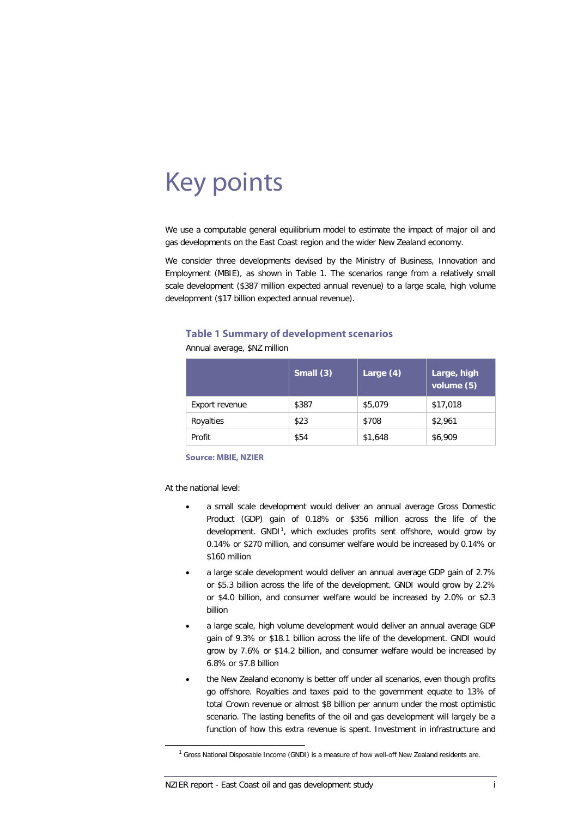# Key points

We use a computable general equilibrium model to estimate the impact of major oil and gas developments on the East Coast region and the wider New Zealand economy.

We consider three developments devised by the Ministry of Business, Innovation and Employment (MBIE), as shown in [Table 1.](#page-3-0) The scenarios range from a relatively small scale development (\$387 million expected annual revenue) to a large scale, high volume development (\$17 billion expected annual revenue).

#### <span id="page-3-0"></span>**Table 1 Summary of development scenarios**

Annual average, \$NZ million

|                | Small $(3)$ | Large (4) <sup>®</sup> | Large, high<br>volume (5) |
|----------------|-------------|------------------------|---------------------------|
| Export revenue | \$387       | \$5,079                | \$17,018                  |
| Royalties      | \$23        | \$708                  | \$2,961                   |
| Profit         | \$54        | \$1,648                | \$6,909                   |

**Source: MBIE, NZIER**

At the national level:

- a small scale development would deliver an annual average Gross Domestic Product (GDP) gain of 0.18% or \$356 million across the life of the development. GNDI<sup>[1](#page-8-0)</sup>, which excludes profits sent offshore, would grow by 0.14% or \$270 million, and consumer welfare would be increased by 0.14% or \$160 million
- a large scale development would deliver an annual average GDP gain of 2.7% or \$5.3 billion across the life of the development. GNDI would grow by 2.2% or \$4.0 billion, and consumer welfare would be increased by 2.0% or \$2.3 billion
- a large scale, high volume development would deliver an annual average GDP gain of 9.3% or \$18.1 billion across the life of the development. GNDI would grow by 7.6% or \$14.2 billion, and consumer welfare would be increased by 6.8% or \$7.8 billion
- the New Zealand economy is better off under all scenarios, even though profits go offshore. Royalties and taxes paid to the government equate to 13% of total Crown revenue or almost \$8 billion per annum under the most optimistic scenario. The lasting benefits of the oil and gas development will largely be a function of how this extra revenue is spent. Investment in infrastructure and

<span id="page-3-1"></span> $1$  Gross National Disposable Income (GNDI) is a measure of how well-off New Zealand residents are.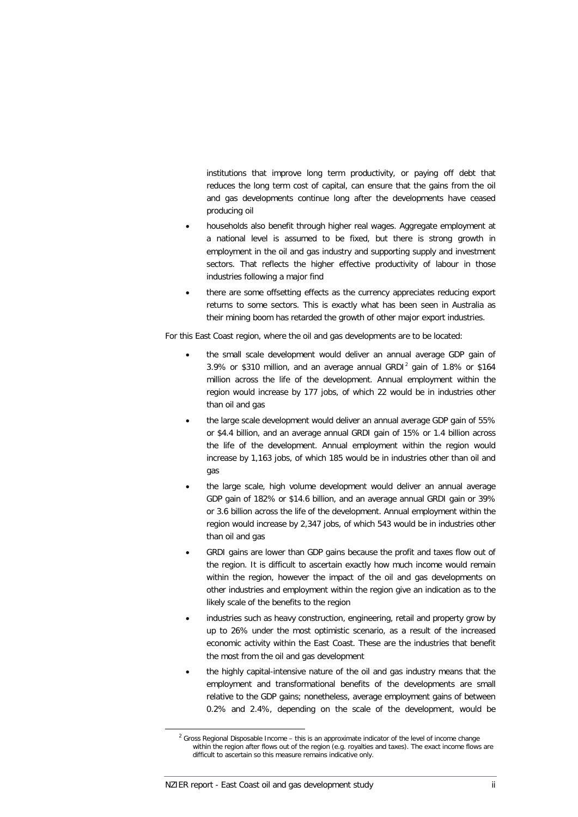institutions that improve long term productivity, or paying off debt that reduces the long term cost of capital, can ensure that the gains from the oil and gas developments continue long after the developments have ceased producing oil

- households also benefit through higher real wages. Aggregate employment at a national level is assumed to be fixed, but there is strong growth in employment in the oil and gas industry and supporting supply and investment sectors. That reflects the higher effective productivity of labour in those industries following a major find
- there are some offsetting effects as the currency appreciates reducing export returns to some sectors. This is exactly what has been seen in Australia as their mining boom has retarded the growth of other major export industries.

For this East Coast region, where the oil and gas developments are to be located:

- the small scale development would deliver an annual average GDP gain of 3.9% or \$310 million, and an average annual GRDI[2](#page-3-1) gain of 1.8% or \$164 million across the life of the development. Annual employment within the region would increase by 177 jobs, of which 22 would be in industries other than oil and gas
- the large scale development would deliver an annual average GDP gain of 55% or \$4.4 billion, and an average annual GRDI gain of 15% or 1.4 billion across the life of the development. Annual employment within the region would increase by 1,163 jobs, of which 185 would be in industries other than oil and gas
- the large scale, high volume development would deliver an annual average GDP gain of 182% or \$14.6 billion, and an average annual GRDI gain or 39% or 3.6 billion across the life of the development. Annual employment within the region would increase by 2,347 jobs, of which 543 would be in industries other than oil and gas
- GRDI gains are lower than GDP gains because the profit and taxes flow out of the region. It is difficult to ascertain exactly how much income would remain within the region, however the impact of the oil and gas developments on other industries and employment within the region give an indication as to the likely scale of the benefits to the region
- industries such as heavy construction, engineering, retail and property grow by up to 26% under the most optimistic scenario, as a result of the increased economic activity within the East Coast. These are the industries that benefit the most from the oil and gas development
- the highly capital-intensive nature of the oil and gas industry means that the employment and transformational benefits of the developments are small relative to the GDP gains; nonetheless, average employment gains of between 0.2% and 2.4%, depending on the scale of the development, would be

<span id="page-4-0"></span> $2$  Gross Regional Disposable Income – this is an approximate indicator of the level of income change within the region after flows out of the region (e.g. royalties and taxes). The exact income flows are difficult to ascertain so this measure remains indicative only.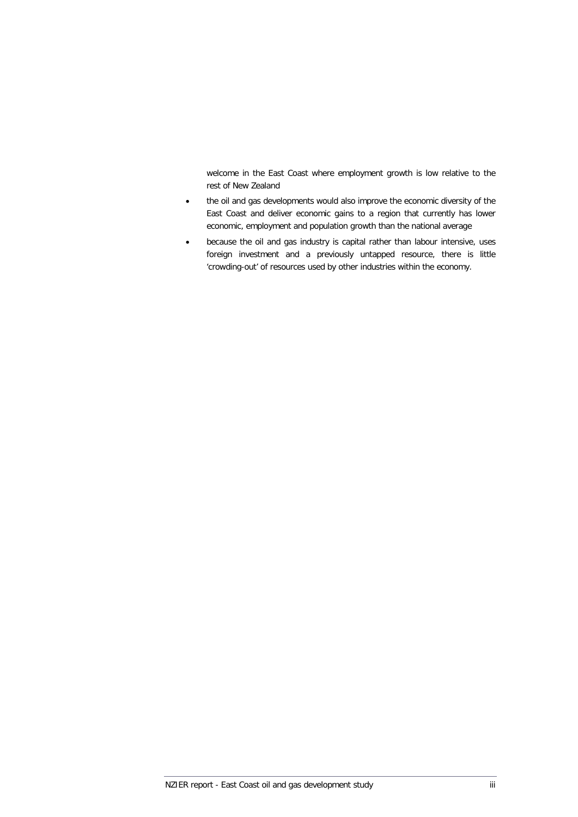welcome in the East Coast where employment growth is low relative to the rest of New Zealand

- the oil and gas developments would also improve the economic diversity of the East Coast and deliver economic gains to a region that currently has lower economic, employment and population growth than the national average
- because the oil and gas industry is capital rather than labour intensive, uses foreign investment and a previously untapped resource, there is little 'crowding-out' of resources used by other industries within the economy.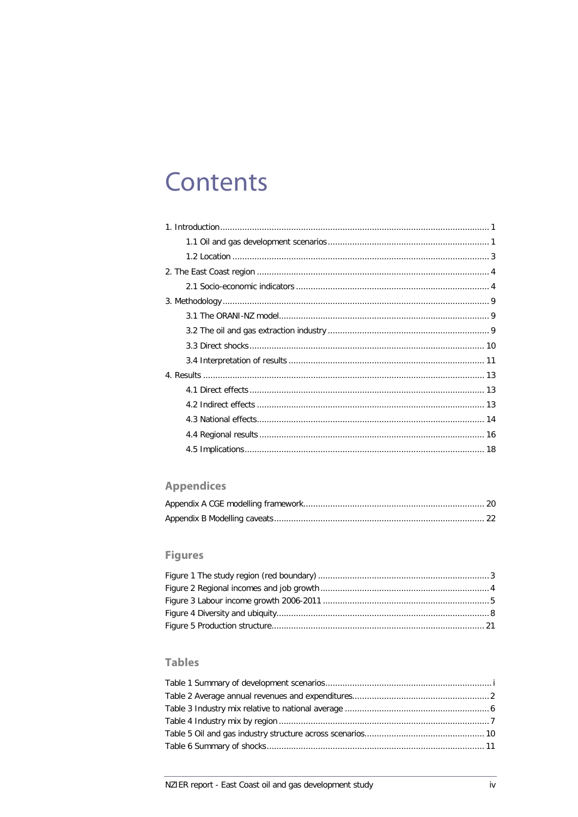# **Contents**

# **Appendices**

# **Figures**

# **Tables**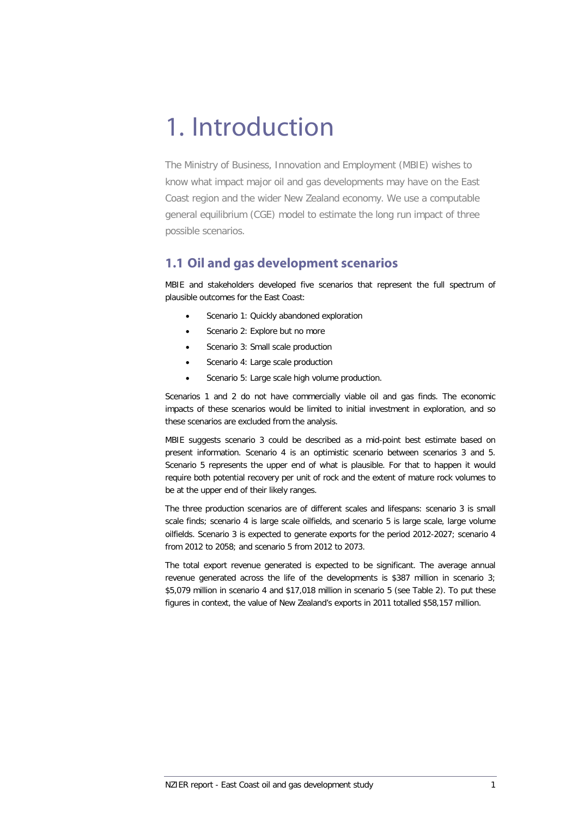# 1. Introduction

The Ministry of Business, Innovation and Employment (MBIE) wishes to know what impact major oil and gas developments may have on the East Coast region and the wider New Zealand economy. We use a computable general equilibrium (CGE) model to estimate the long run impact of three possible scenarios.

### **1.1 Oil and gas development scenarios**

MBIE and stakeholders developed five scenarios that represent the full spectrum of plausible outcomes for the East Coast:

- Scenario 1: Quickly abandoned exploration
- Scenario 2: Explore but no more
- Scenario 3: Small scale production
- Scenario 4: Large scale production
- Scenario 5: Large scale high volume production.

Scenarios 1 and 2 do not have commercially viable oil and gas finds. The economic impacts of these scenarios would be limited to initial investment in exploration, and so these scenarios are excluded from the analysis.

MBIE suggests scenario 3 could be described as a mid-point best estimate based on present information. Scenario 4 is an optimistic scenario between scenarios 3 and 5. Scenario 5 represents the upper end of what is plausible. For that to happen it would require both potential recovery per unit of rock and the extent of mature rock volumes to be at the upper end of their likely ranges.

The three production scenarios are of different scales and lifespans: scenario 3 is small scale finds; scenario 4 is large scale oilfields, and scenario 5 is large scale, large volume oilfields. Scenario 3 is expected to generate exports for the period 2012-2027; scenario 4 from 2012 to 2058; and scenario 5 from 2012 to 2073.

<span id="page-8-0"></span>The total export revenue generated is expected to be significant. The average annual revenue generated across the life of the developments is \$387 million in scenario 3; \$5,079 million in scenario 4 and \$17,018 million in scenario 5 (see [Table 2\)](#page-9-0). To put these figures in context, the value of New Zealand's exports in 2011 totalled \$58,157 million.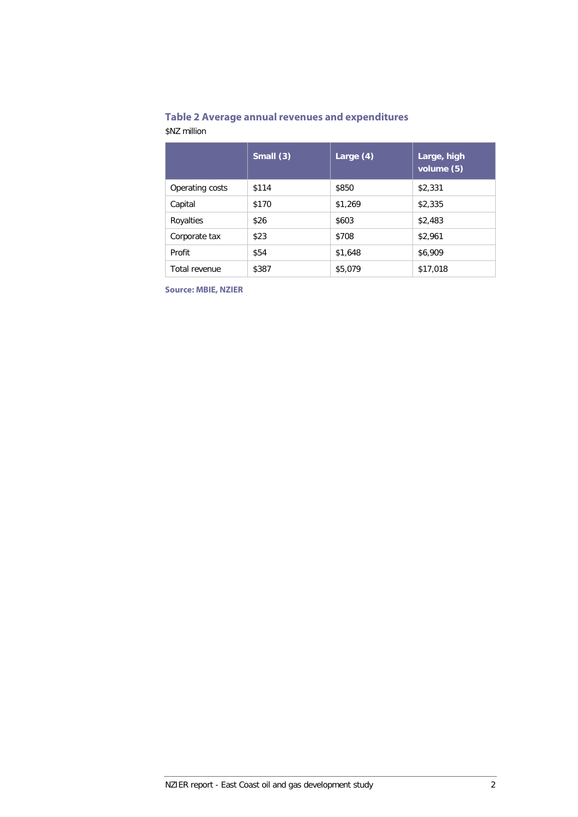# <span id="page-9-0"></span>**Table 2 Average annual revenues and expenditures**

\$NZ million

|                 | Small (3) | Large $(4)$ | Large, high<br>volume (5) |
|-----------------|-----------|-------------|---------------------------|
| Operating costs | \$114     | \$850       | \$2,331                   |
| Capital         | \$170     | \$1,269     | \$2,335                   |
| Royalties       | \$26      | \$603       | \$2,483                   |
| Corporate tax   | \$23      | \$708       | \$2,961                   |
| Profit          | \$54      | \$1,648     | \$6,909                   |
| Total revenue   | \$387     | \$5,079     | \$17,018                  |

**Source: MBIE, NZIER**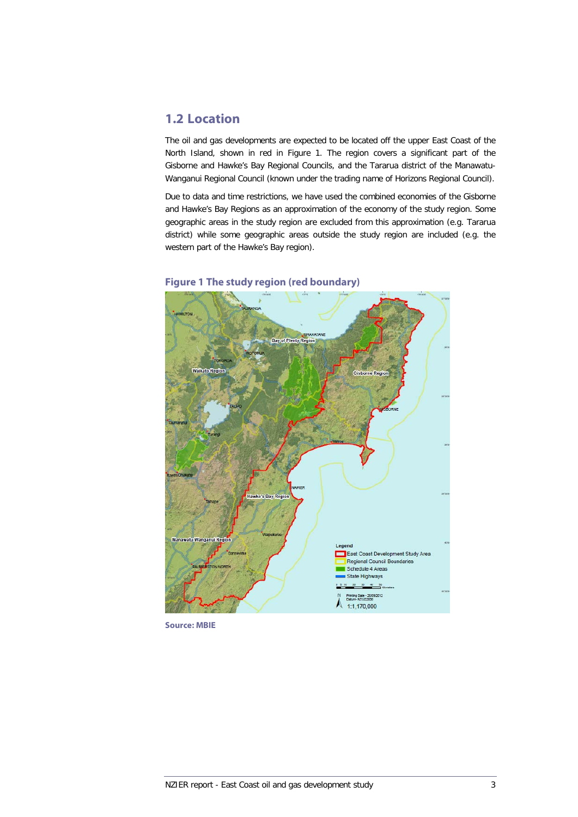## **1.2 Location**

The oil and gas developments are expected to be located off the upper East Coast of the North Island, shown in red in [Figure 1.](#page-10-0) The region covers a significant part of the Gisborne and Hawke's Bay Regional Councils, and the Tararua district of the Manawatu-Wanganui Regional Council (known under the trading name of Horizons Regional Council).

Due to data and time restrictions, we have used the combined economies of the Gisborne and Hawke's Bay Regions as an approximation of the economy of the study region. Some geographic areas in the study region are excluded from this approximation (e.g. Tararua district) while some geographic areas outside the study region are included (e.g. the western part of the Hawke's Bay region).



### <span id="page-10-0"></span>**Figure 1 The study region (red boundary)**

**Source: MBIE**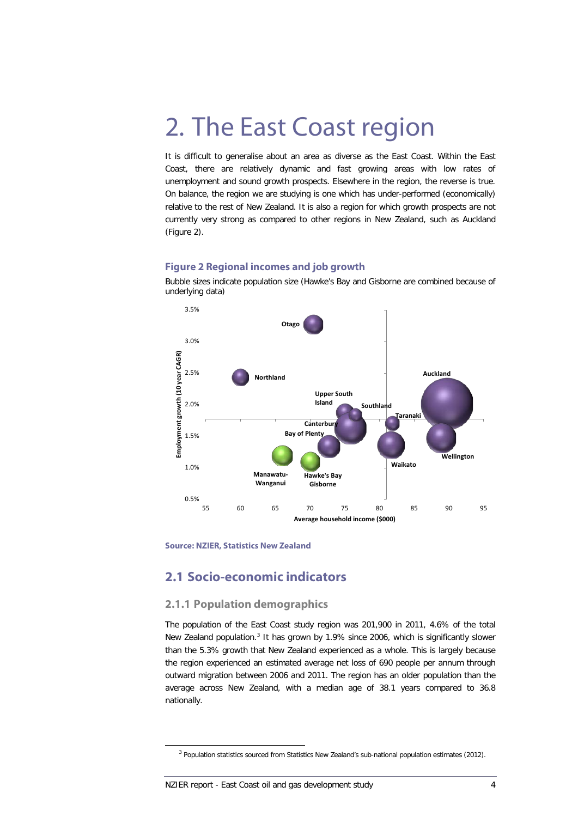# <span id="page-11-2"></span>2. The East Coast region

It is difficult to generalise about an area as diverse as the East Coast. Within the East Coast, there are relatively dynamic and fast growing areas with low rates of unemployment and sound growth prospects. Elsewhere in the region, the reverse is true. On balance, the region we are studying is one which has under-performed (economically) relative to the rest of New Zealand. It is also a region for which growth prospects are not currently very strong as compared to other regions in New Zealand, such as Auckland [\(Figure 2\)](#page-11-0).

#### <span id="page-11-0"></span>**Figure 2 Regional incomes and job growth**



Bubble sizes indicate population size (Hawke's Bay and Gisborne are combined because of underlying data)

**Source: NZIER, Statistics New Zealand**

## **2.1 Socio-economic indicators**

#### **2.1.1 Population demographics**

The population of the East Coast study region was 201,900 in 2011, 4.6% of the total New Zealand population.[3](#page-4-0) It has grown by 1.9% since 2006, which is significantly slower than the 5.3% growth that New Zealand experienced as a whole. This is largely because the region experienced an estimated average net loss of 690 people per annum through outward migration between 2006 and 2011. The region has an older population than the average across New Zealand, with a median age of 38.1 years compared to 36.8 nationally.

<span id="page-11-1"></span><sup>&</sup>lt;sup>3</sup> Population statistics sourced from Statistics New Zealand's sub-national population estimates (2012).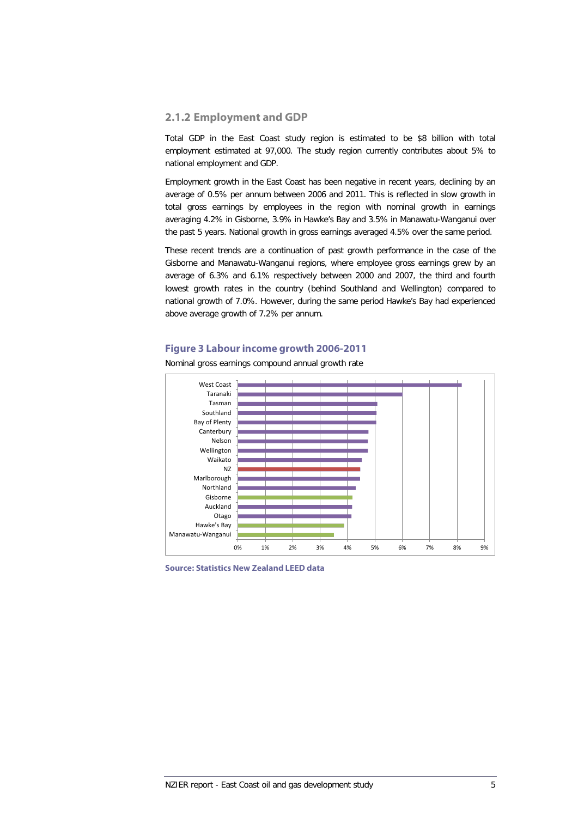#### **2.1.2 Employment and GDP**

Total GDP in the East Coast study region is estimated to be \$8 billion with total employment estimated at 97,000. The study region currently contributes about 5% to national employment and GDP.

Employment growth in the East Coast has been negative in recent years, declining by an average of 0.5% per annum between 2006 and 2011. This is reflected in slow growth in total gross earnings by employees in the region with nominal growth in earnings averaging 4.2% in Gisborne, 3.9% in Hawke's Bay and 3.5% in Manawatu-Wanganui over the past 5 years. National growth in gross earnings averaged 4.5% over the same period.

These recent trends are a continuation of past growth performance in the case of the Gisborne and Manawatu-Wanganui regions, where employee gross earnings grew by an average of 6.3% and 6.1% respectively between 2000 and 2007, the third and fourth lowest growth rates in the country (behind Southland and Wellington) compared to national growth of 7.0%. However, during the same period Hawke's Bay had experienced above average growth of 7.2% per annum.

#### **Figure 3 Labour income growth 2006-2011**



Nominal gross earnings compound annual growth rate

**Source: Statistics New Zealand LEED data**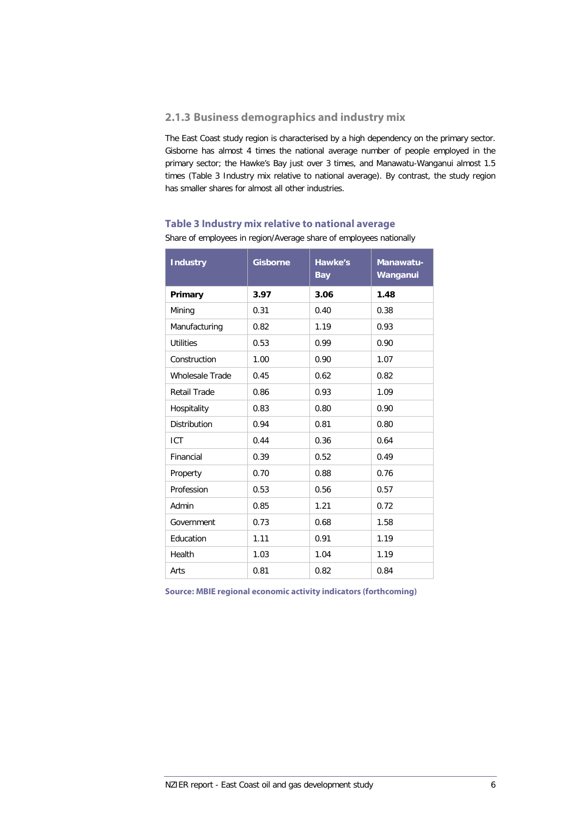#### **2.1.3 Business demographics and industry mix**

The East Coast study region is characterised by a high dependency on the primary sector. Gisborne has almost 4 times the national average number of people employed in the primary sector; the Hawke's Bay just over 3 times, and Manawatu-Wanganui almost 1.5 times (Table 3 [Industry mix relative to national average\)](#page-13-0). By contrast, the study region has smaller shares for almost all other industries.

### <span id="page-13-0"></span>**Table 3 Industry mix relative to national average** Share of employees in region/Average share of employees nationally

| <b>Industry</b>        | <b>Gisborne</b> | <b>Hawke's</b><br><b>Bay</b> | Manawatu-<br>Wanganui |
|------------------------|-----------------|------------------------------|-----------------------|
| Primary                | 3.97            | 3.06                         | 1.48                  |
| Mining                 | 0.31            | 0.40                         | 0.38                  |
| Manufacturing          | 0.82            | 1.19                         | 0.93                  |
| <b>Utilities</b>       | 0.53            | 0.99                         | 0.90                  |
| Construction           | 1.00            | 0.90                         | 1.07                  |
| <b>Wholesale Trade</b> | 0.45            | 0.62                         | 0.82                  |
| Retail Trade           | 0.86            | 0.93                         | 1.09                  |
| Hospitality            | 0.83            | 0.80                         | 0.90                  |
| <b>Distribution</b>    | 0.94            | 0.81                         | 0.80                  |
| <b>ICT</b>             | 0.44            | 0.36                         | 0.64                  |
| Financial              | 0.39            | 0.52                         | 0.49                  |
| Property               | 0.70            | 0.88                         | 0.76                  |
| Profession             | 0.53            | 0.56                         | 0.57                  |
| Admin                  | 0.85            | 1.21                         | 0.72                  |
| Government             | 0.73            | 0.68                         | 1.58                  |
| Education              | 1.11            | 0.91                         | 1.19                  |
| Health                 | 1.03            | 1.04                         | 1.19                  |
| Arts                   | 0.81            | 0.82                         | 0.84                  |

**Source: MBIE regional economic activity indicators (forthcoming)**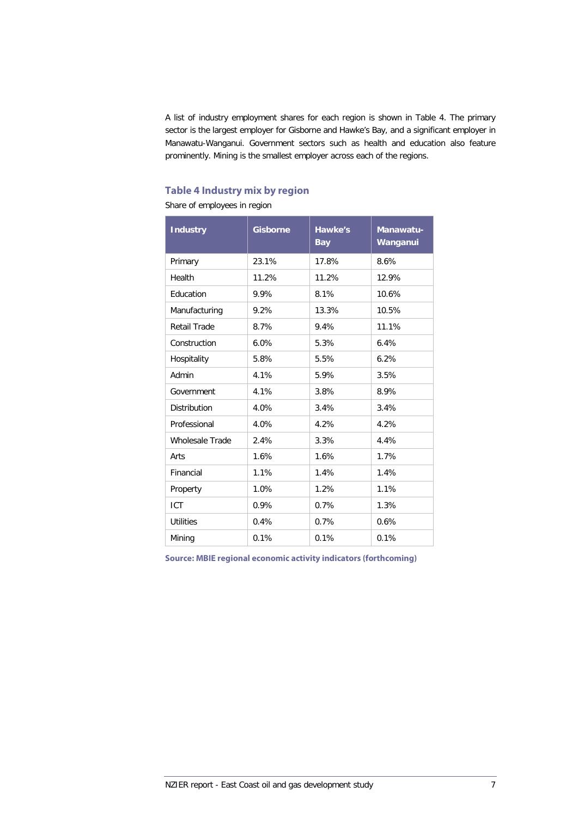A list of industry employment shares for each region is shown in [Table 4.](#page-14-0) The primary sector is the largest employer for Gisborne and Hawke's Bay, and a significant employer in Manawatu-Wanganui. Government sectors such as health and education also feature prominently. Mining is the smallest employer across each of the regions.

### <span id="page-14-0"></span>**Table 4 Industry mix by region**

Share of employees in region

| <b>Industry</b>        | <b>Gisborne</b> | Hawke's<br><b>Bay</b> | Manawatu-<br>Wanganui |
|------------------------|-----------------|-----------------------|-----------------------|
| Primary                | 23.1%           | 17.8%                 | 8.6%                  |
| Health                 | 11.2%           | 11.2%                 | 12.9%                 |
| Education              | 9.9%            | 8.1%                  | 10.6%                 |
| Manufacturing          | 9.2%            | 13.3%                 | 10.5%                 |
| Retail Trade           | 8.7%            | 9.4%                  | 11.1%                 |
| Construction           | 6.0%            | 5.3%                  | 6.4%                  |
| Hospitality            | 5.8%            | 5.5%                  | 6.2%                  |
| Admin                  | 4.1%            | 5.9%                  | 3.5%                  |
| Government             | 4.1%            | 3.8%                  | 8.9%                  |
| <b>Distribution</b>    | 4.0%            | 3.4%                  | 3.4%                  |
| Professional           | 4.0%            | 4.2%                  | 4.2%                  |
| <b>Wholesale Trade</b> | 2.4%            | 3.3%                  | 4.4%                  |
| Arts                   | 1.6%            | 1.6%                  | 1.7%                  |
| Financial              | 1.1%            | 1.4%                  | 1.4%                  |
| Property               | 1.0%            | 1.2%                  | 1.1%                  |
| <b>ICT</b>             | 0.9%            | 0.7%                  | 1.3%                  |
| <b>Utilities</b>       | 0.4%            | 0.7%                  | 0.6%                  |
| Mining                 | 0.1%            | 0.1%                  | 0.1%                  |

**Source: MBIE regional economic activity indicators (forthcoming)**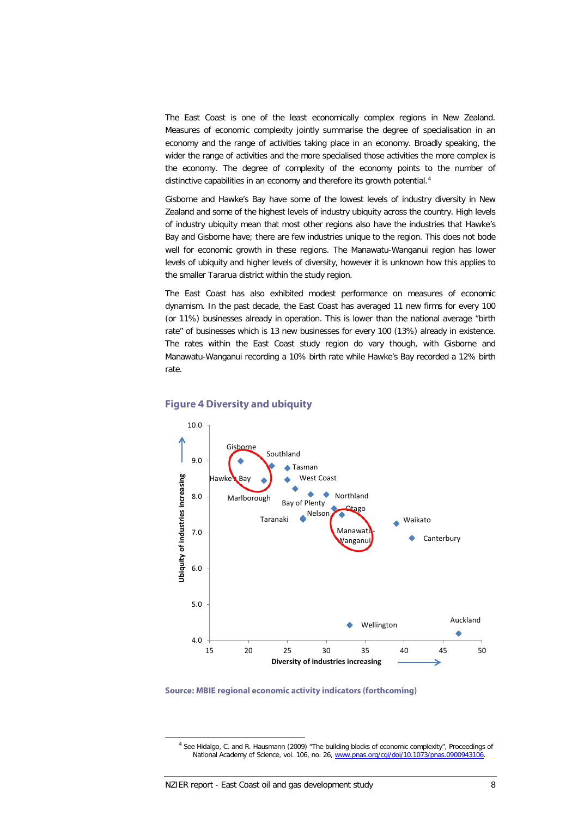The East Coast is one of the least economically complex regions in New Zealand. Measures of economic complexity jointly summarise the degree of specialisation in an economy and the range of activities taking place in an economy. Broadly speaking, the wider the range of activities and the more specialised those activities the more complex is the economy. The degree of complexity of the economy points to the number of distinctive capabilities in an economy and therefore its growth potential.<sup>[4](#page-11-1)</sup>

Gisborne and Hawke's Bay have some of the lowest levels of industry diversity in New Zealand and some of the highest levels of industry ubiquity across the country. High levels of industry ubiquity mean that most other regions also have the industries that Hawke's Bay and Gisborne have; there are few industries unique to the region. This does not bode well for economic growth in these regions. The Manawatu-Wanganui region has lower levels of ubiquity and higher levels of diversity, however it is unknown how this applies to the smaller Tararua district within the study region.

The East Coast has also exhibited modest performance on measures of economic dynamism. In the past decade, the East Coast has averaged 11 new firms for every 100 (or 11%) businesses already in operation. This is lower than the national average "birth rate" of businesses which is 13 new businesses for every 100 (13%) already in existence. The rates within the East Coast study region do vary though, with Gisborne and Manawatu-Wanganui recording a 10% birth rate while Hawke's Bay recorded a 12% birth rate.



#### **Figure 4 Diversity and ubiquity**

<span id="page-15-0"></span>**Source: MBIE regional economic activity indicators (forthcoming)**

 <sup>4</sup> See Hidalgo, C. and R. Hausmann (2009) "The building blocks of economic complexity", Proceedings of National Academy of Science, vol. 106, no. 26, [www.pnas.org/cgi/doi/10.1073/pnas.0900943106.](http://www.pnas.org/cgi/doi/10.1073/pnas.0900943106)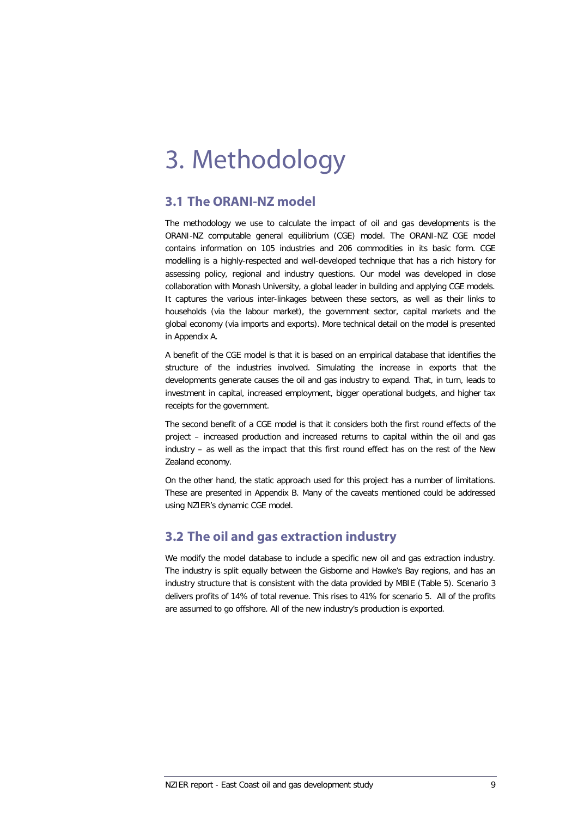# 3. Methodology

## **3.1 The ORANI-NZ model**

The methodology we use to calculate the impact of oil and gas developments is the ORANI-NZ computable general equilibrium (CGE) model. The ORANI-NZ CGE model contains information on 105 industries and 206 commodities in its basic form. CGE modelling is a highly-respected and well-developed technique that has a rich history for assessing policy, regional and industry questions. Our model was developed in close collaboration with Monash University, a global leader in building and applying CGE models. It captures the various inter-linkages between these sectors, as well as their links to households (via the labour market), the government sector, capital markets and the global economy (via imports and exports). More technical detail on the model is presented in Appendix A.

A benefit of the CGE model is that it is based on an empirical database that identifies the structure of the industries involved. Simulating the increase in exports that the developments generate causes the oil and gas industry to expand. That, in turn, leads to investment in capital, increased employment, bigger operational budgets, and higher tax receipts for the government.

The second benefit of a CGE model is that it considers both the first round effects of the project – increased production and increased returns to capital within the oil and gas industry – as well as the impact that this first round effect has on the rest of the New Zealand economy.

On the other hand, the static approach used for this project has a number of limitations. These are presented in Appendix B. Many of the caveats mentioned could be addressed using NZIER's dynamic CGE model.

# **3.2 The oil and gas extraction industry**

We modify the model database to include a specific new oil and gas extraction industry. The industry is split equally between the Gisborne and Hawke's Bay regions, and has an industry structure that is consistent with the data provided by MBIE [\(Table 5\)](#page-17-0). Scenario 3 delivers profits of 14% of total revenue. This rises to 41% for scenario 5. All of the profits are assumed to go offshore. All of the new industry's production is exported.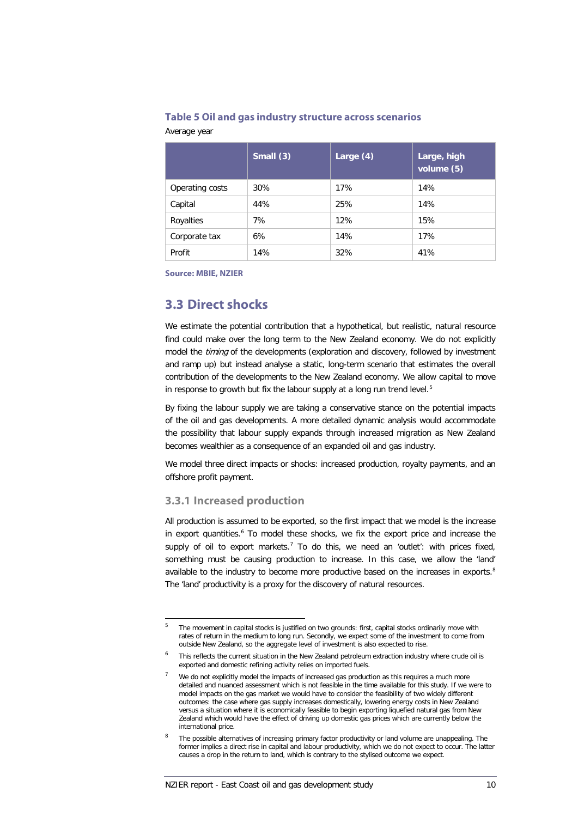#### <span id="page-17-0"></span>**Table 5 Oil and gas industry structure across scenarios**

| Average year |  |
|--------------|--|
|--------------|--|

|                 | Small $(3)$ | Large (4) | Large, high<br>volume (5) |
|-----------------|-------------|-----------|---------------------------|
| Operating costs | 30%         | 17%       | 14%                       |
| Capital         | 44%         | 25%       | 14%                       |
| Royalties       | 7%          | 12%       | 15%                       |
| Corporate tax   | 6%          | 14%       | 17%                       |
| Profit          | 14%         | 32%       | 41%                       |

**Source: MBIE, NZIER**

### **3.3 Direct shocks**

We estimate the potential contribution that a hypothetical, but realistic, natural resource find could make over the long term to the New Zealand economy. We do not explicitly model the *timing* of the developments (exploration and discovery, followed by investment and ramp up) but instead analyse a static, long-term scenario that estimates the overall contribution of the developments to the New Zealand economy. We allow capital to move in response to growth but fix the labour supply at a long run trend level.<sup>[5](#page-15-0)</sup>

By fixing the labour supply we are taking a conservative stance on the potential impacts of the oil and gas developments. A more detailed dynamic analysis would accommodate the possibility that labour supply expands through increased migration as New Zealand becomes wealthier as a consequence of an expanded oil and gas industry.

We model three direct impacts or shocks: increased production, royalty payments, and an offshore profit payment.

#### **3.3.1 Increased production**

All production is assumed to be exported, so the first impact that we model is the increase in export quantities. [6](#page-17-1) To model these shocks, we fix the export price and increase the supply of oil to export markets.<sup>[7](#page-17-2)</sup> To do this, we need an 'outlet': with prices fixed, something must be causing production to increase. In this case, we allow the 'land' available to the industry to become more productive based on the increases in exports.<sup>[8](#page-17-3)</sup> The 'land' productivity is a proxy for the discovery of natural resources.

 <sup>5</sup> The movement in capital stocks is justified on two grounds: first, capital stocks ordinarily move with rates of return in the medium to long run. Secondly, we expect some of the investment to come from outside New Zealand, so the aggregate level of investment is also expected to rise.

<span id="page-17-2"></span><span id="page-17-1"></span><sup>6</sup> This reflects the current situation in the New Zealand petroleum extraction industry where crude oil is exported and domestic refining activity relies on imported fuels.

We do not explicitly model the impacts of increased gas production as this requires a much more detailed and nuanced assessment which is not feasible in the time available for this study. If we were to model impacts on the gas market we would have to consider the feasibility of two widely different outcomes: the case where gas supply increases domestically, lowering energy costs in New Zealand versus a situation where it is economically feasible to begin exporting liquefied natural gas from New Zealand which would have the effect of driving up domestic gas prices which are currently below the international price.

<span id="page-17-3"></span>The possible alternatives of increasing primary factor productivity or land volume are unappealing. The former implies a direct rise in capital and labour productivity, which we do not expect to occur. The latter causes a drop in the return to land, which is contrary to the stylised outcome we expect.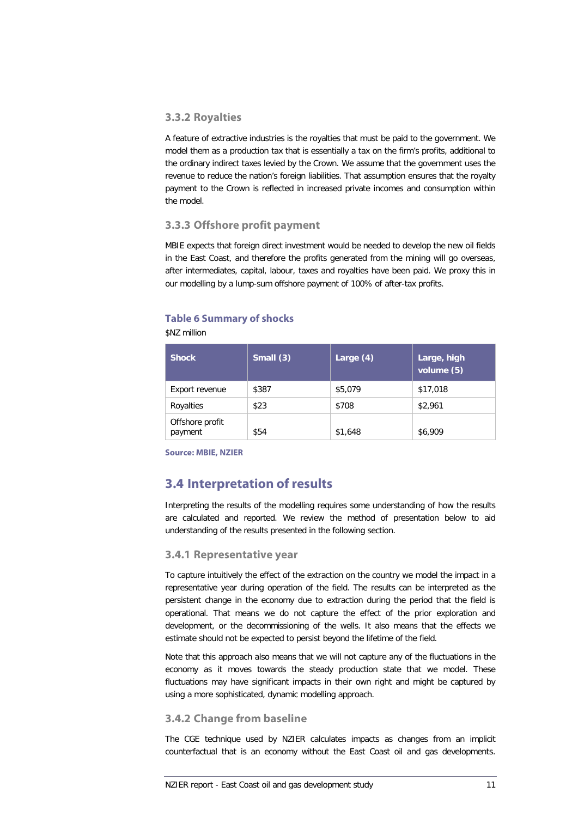#### **3.3.2 Royalties**

A feature of extractive industries is the royalties that must be paid to the government. We model them as a production tax that is essentially a tax on the firm's profits, additional to the ordinary indirect taxes levied by the Crown. We assume that the government uses the revenue to reduce the nation's foreign liabilities. That assumption ensures that the royalty payment to the Crown is reflected in increased private incomes and consumption within the model.

#### **3.3.3 Offshore profit payment**

MBIE expects that foreign direct investment would be needed to develop the new oil fields in the East Coast, and therefore the profits generated from the mining will go overseas, after intermediates, capital, labour, taxes and royalties have been paid. We proxy this in our modelling by a lump-sum offshore payment of 100% of after-tax profits.

#### **Table 6 Summary of shocks**

\$NZ million

| <b>Shock</b>               | Small $(3)$ | Large $(4)$ | Large, high<br>volume (5) |
|----------------------------|-------------|-------------|---------------------------|
| Export revenue             | \$387       | \$5,079     | \$17,018                  |
| Royalties                  | \$23        | \$708       | \$2,961                   |
| Offshore profit<br>payment | \$54        | \$1,648     | \$6,909                   |

**Source: MBIE, NZIER**

# **3.4 Interpretation of results**

Interpreting the results of the modelling requires some understanding of how the results are calculated and reported. We review the method of presentation below to aid understanding of the results presented in the following section.

#### **3.4.1 Representative year**

To capture intuitively the effect of the extraction on the country we model the impact in a representative year during operation of the field. The results can be interpreted as the persistent change in the economy due to extraction during the period that the field is operational. That means we do not capture the effect of the prior exploration and development, or the decommissioning of the wells. It also means that the effects we estimate should not be expected to persist beyond the lifetime of the field.

Note that this approach also means that we will not capture any of the fluctuations in the economy as it moves towards the steady production state that we model. These fluctuations may have significant impacts in their own right and might be captured by using a more sophisticated, dynamic modelling approach.

#### **3.4.2 Change from baseline**

The CGE technique used by NZIER calculates impacts as changes from an implicit counterfactual that is an economy without the East Coast oil and gas developments.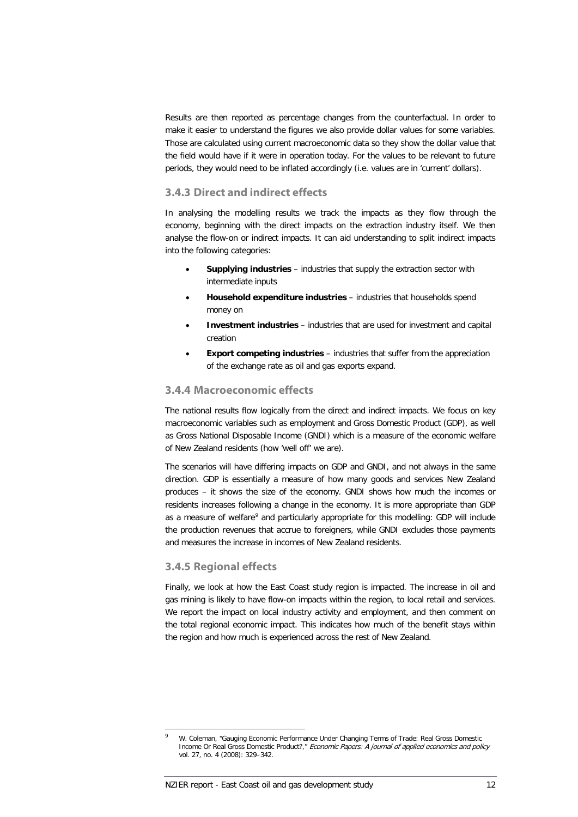Results are then reported as percentage changes from the counterfactual. In order to make it easier to understand the figures we also provide dollar values for some variables. Those are calculated using current macroeconomic data so they show the dollar value that the field would have if it were in operation today. For the values to be relevant to future periods, they would need to be inflated accordingly (i.e. values are in 'current' dollars).

#### <span id="page-19-0"></span>**3.4.3 Direct and indirect effects**

In analysing the modelling results we track the impacts as they flow through the economy, beginning with the direct impacts on the extraction industry itself. We then analyse the flow-on or indirect impacts. It can aid understanding to split indirect impacts into the following categories:

- **Supplying industries** industries that supply the extraction sector with intermediate inputs
- **Household expenditure industries** industries that households spend money on
- **Investment industries** industries that are used for investment and capital creation
- **Export competing industries** industries that suffer from the appreciation of the exchange rate as oil and gas exports expand.

#### **3.4.4 Macroeconomic effects**

The national results flow logically from the direct and indirect impacts. We focus on key macroeconomic variables such as employment and Gross Domestic Product (GDP), as well as Gross National Disposable Income (GNDI) which is a measure of the economic welfare of New Zealand residents (how 'well off' we are).

The scenarios will have differing impacts on GDP and GNDI, and not always in the same direction. GDP is essentially a measure of how many goods and services New Zealand produces – it shows the size of the economy. GNDI shows how much the incomes or residents increases following a change in the economy. It is more appropriate than GDP as a measure of welfare<sup>[9](#page-17-3)</sup> and particularly appropriate for this modelling: GDP will include the production revenues that accrue to foreigners, while GNDI excludes those payments and measures the increase in incomes of New Zealand residents.

#### **3.4.5 Regional effects**

Finally, we look at how the East Coast study region is impacted. The increase in oil and gas mining is likely to have flow-on impacts within the region, to local retail and services. We report the impact on local industry activity and employment, and then comment on the total regional economic impact. This indicates how much of the benefit stays within the region and how much is experienced across the rest of New Zealand.

<span id="page-19-1"></span>W. Coleman, "Gauging Economic Performance Under Changing Terms of Trade: Real Gross Domestic Income Or Real Gross Domestic Product?," Economic Papers: A journal of applied economics and policy vol. 27, no. 4 (2008): 329–342.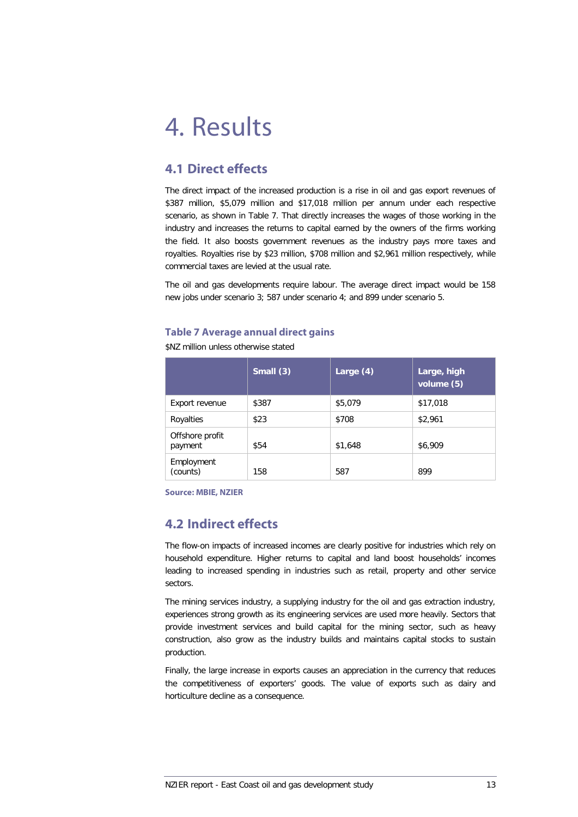# 4. Results

# **4.1 Direct effects**

The direct impact of the increased production is a rise in oil and gas export revenues of \$387 million, \$5,079 million and \$17,018 million per annum under each respective scenario, as shown in [Table 7.](#page-20-0) That directly increases the wages of those working in the industry and increases the returns to capital earned by the owners of the firms working the field. It also boosts government revenues as the industry pays more taxes and royalties. Royalties rise by \$23 million, \$708 million and \$2,961 million respectively, while commercial taxes are levied at the usual rate.

The oil and gas developments require labour. The average direct impact would be 158 new jobs under scenario 3; 587 under scenario 4; and 899 under scenario 5.

#### <span id="page-20-0"></span>**Table 7 Average annual direct gains**

\$NZ million unless otherwise stated

|                            | Small $(3)$ | Large $(4)$ | Large, high<br>volume (5) |  |
|----------------------------|-------------|-------------|---------------------------|--|
| Export revenue             | \$387       | \$5,079     | \$17,018                  |  |
| Royalties                  | \$23        | \$708       | \$2,961                   |  |
| Offshore profit<br>payment | \$54        | \$1,648     | \$6,909                   |  |
| Employment<br>(counts)     | 158         | 587         | 899                       |  |

**Source: MBIE, NZIER**

# **4.2 Indirect effects**

The flow-on impacts of increased incomes are clearly positive for industries which rely on household expenditure. Higher returns to capital and land boost households' incomes leading to increased spending in industries such as retail, property and other service sectors.

The mining services industry, a supplying industry for the oil and gas extraction industry, experiences strong growth as its engineering services are used more heavily. Sectors that provide investment services and build capital for the mining sector, such as heavy construction, also grow as the industry builds and maintains capital stocks to sustain production.

Finally, the large increase in exports causes an appreciation in the currency that reduces the competitiveness of exporters' goods. The value of exports such as dairy and horticulture decline as a consequence.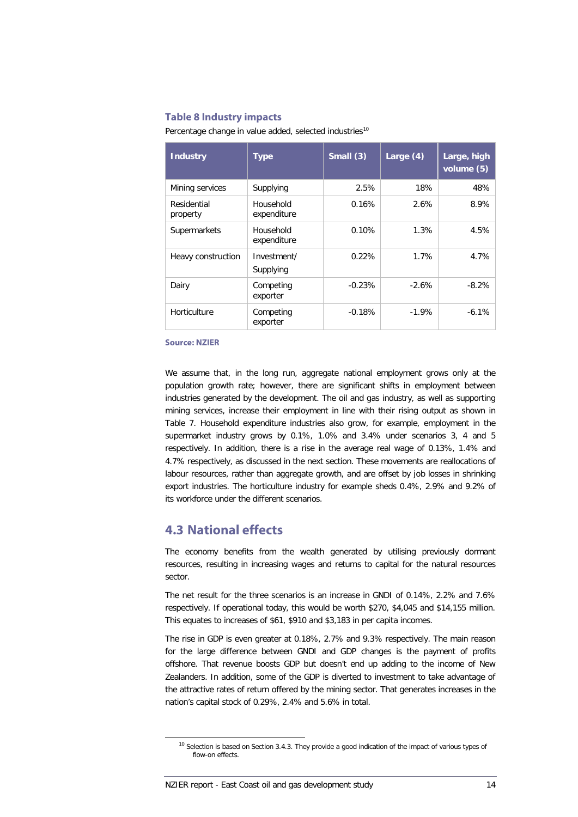#### **Table 8 Industry impacts**

| Percentage change in value added, selected industries <sup>10</sup> |  |  |  |  |  |
|---------------------------------------------------------------------|--|--|--|--|--|
|---------------------------------------------------------------------|--|--|--|--|--|

| <b>Industry</b>         | <b>Type</b>              | Small (3) | Large $(4)$ | Large, high<br>volume (5) |
|-------------------------|--------------------------|-----------|-------------|---------------------------|
| Mining services         | Supplying                | 2.5%      | 18%         | 48%                       |
| Residential<br>property | Household<br>expenditure | 0.16%     | 2.6%        | 8.9%                      |
| Supermarkets            | Household<br>expenditure | 0.10%     | 1.3%        | 4.5%                      |
| Heavy construction      | Investment/<br>Supplying | 0.22%     | 1.7%        | 4.7%                      |
| Dairy                   | Competing<br>exporter    | $-0.23%$  | $-2.6%$     | $-8.2%$                   |
| Horticulture            | Competing<br>exporter    | $-0.18%$  | $-1.9%$     | $-6.1%$                   |

**Source: NZIER**

We assume that, in the long run, aggregate national employment grows only at the population growth rate; however, there are significant shifts in employment between industries generated by the development. The oil and gas industry, as well as supporting mining services, increase their employment in line with their rising output as shown in [Table 7.](#page-20-0) Household expenditure industries also grow, for example, employment in the supermarket industry grows by 0.1%, 1.0% and 3.4% under scenarios 3, 4 and 5 respectively. In addition, there is a rise in the average real wage of 0.13%, 1.4% and 4.7% respectively, as discussed in the next section. These movements are reallocations of labour resources, rather than aggregate growth, and are offset by job losses in shrinking export industries. The horticulture industry for example sheds 0.4%, 2.9% and 9.2% of its workforce under the different scenarios.

### **4.3 National effects**

The economy benefits from the wealth generated by utilising previously dormant resources, resulting in increasing wages and returns to capital for the natural resources sector.

The net result for the three scenarios is an increase in GNDI of 0.14%, 2.2% and 7.6% respectively. If operational today, this would be worth \$270, \$4,045 and \$14,155 million. This equates to increases of \$61, \$910 and \$3,183 in per capita incomes.

The rise in GDP is even greater at 0.18%, 2.7% and 9.3% respectively. The main reason for the large difference between GNDI and GDP changes is the payment of profits offshore. That revenue boosts GDP but doesn't end up adding to the income of New Zealanders. In addition, some of the GDP is diverted to investment to take advantage of the attractive rates of return offered by the mining sector. That generates increases in the nation's capital stock of 0.29%, 2.4% and 5.6% in total.

<span id="page-21-0"></span><sup>&</sup>lt;sup>10</sup> Selection is based on Sectio[n 3.4.3.](#page-19-0) They provide a good indication of the impact of various types of flow-on effects.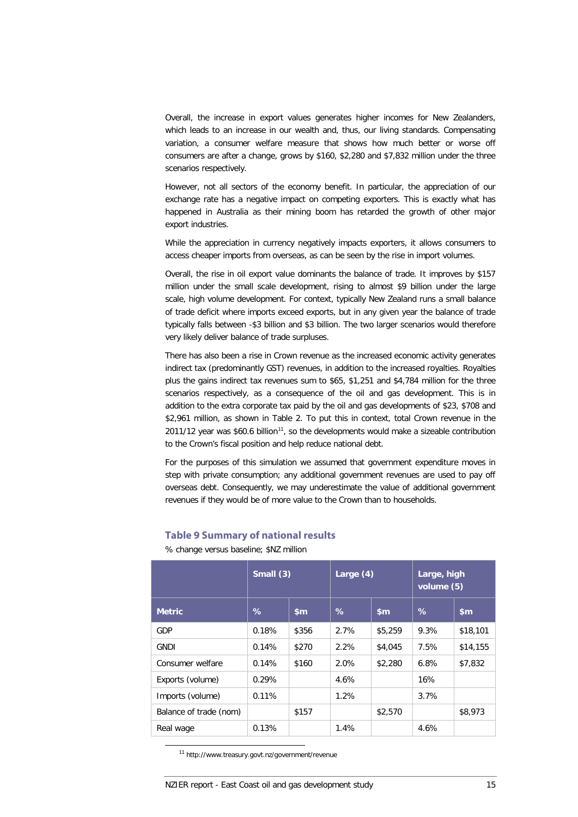Overall, the increase in export values generates higher incomes for New Zealanders, which leads to an increase in our wealth and, thus, our living standards. Compensating variation, a consumer welfare measure that shows how much better or worse off consumers are after a change, grows by \$160, \$2,280 and \$7,832 million under the three scenarios respectively.

However, not all sectors of the economy benefit. In particular, the appreciation of our exchange rate has a negative impact on competing exporters. This is exactly what has happened in Australia as their mining boom has retarded the growth of other major export industries.

While the appreciation in currency negatively impacts exporters, it allows consumers to access cheaper imports from overseas, as can be seen by the rise in import volumes.

Overall, the rise in oil export value dominants the balance of trade. It improves by \$157 million under the small scale development, rising to almost \$9 billion under the large scale, high volume development. For context, typically New Zealand runs a small balance of trade deficit where imports exceed exports, but in any given year the balance of trade typically falls between -\$3 billion and \$3 billion. The two larger scenarios would therefore very likely deliver balance of trade surpluses.

There has also been a rise in Crown revenue as the increased economic activity generates indirect tax (predominantly GST) revenues, in addition to the increased royalties. Royalties plus the gains indirect tax revenues sum to \$65, \$1,251 and \$4,784 million for the three scenarios respectively, as a consequence of the oil and gas development. This is in addition to the extra corporate tax paid by the oil and gas developments of \$23, \$708 and \$2,961 million, as shown in [Table 2.](#page-9-0) To put this in context, total Crown revenue in the 2011/12 year was \$60.6 billion<sup>11</sup>, so the developments would make a sizeable contribution to the Crown's fiscal position and help reduce national debt.

For the purposes of this simulation we assumed that government expenditure moves in step with private consumption; any additional government revenues are used to pay off overseas debt. Consequently, we may underestimate the value of additional government revenues if they would be of more value to the Crown than to households.

|                        | Small $(3)$ |               | Large $(4)$ |               | Large, high<br>volume (5) |          |
|------------------------|-------------|---------------|-------------|---------------|---------------------------|----------|
| <b>Metric</b>          | %           | $\mathsf{sm}$ | $\%$        | $\mathsf{sm}$ | %                         | \$m\$    |
| GDP                    | 0.18%       | \$356         | 2.7%        | \$5,259       | 9.3%                      | \$18,101 |
| <b>GNDI</b>            | 0.14%       | \$270         | 2.2%        | \$4,045       | 7.5%                      | \$14,155 |
| Consumer welfare       | 0.14%       | \$160         | 2.0%        | \$2,280       | 6.8%                      | \$7,832  |
| Exports (volume)       | 0.29%       |               | 4.6%        |               | 16%                       |          |
| Imports (volume)       | 0.11%       |               | 1.2%        |               | 3.7%                      |          |
| Balance of trade (nom) |             | \$157         |             | \$2,570       |                           | \$8,973  |
| Real wage              | 0.13%       |               | 1.4%        |               | 4.6%                      |          |

#### **Table 9 Summary of national results**

% change versus baseline; \$NZ million

<span id="page-22-0"></span>11 http://www.treasury.govt.nz/government/revenue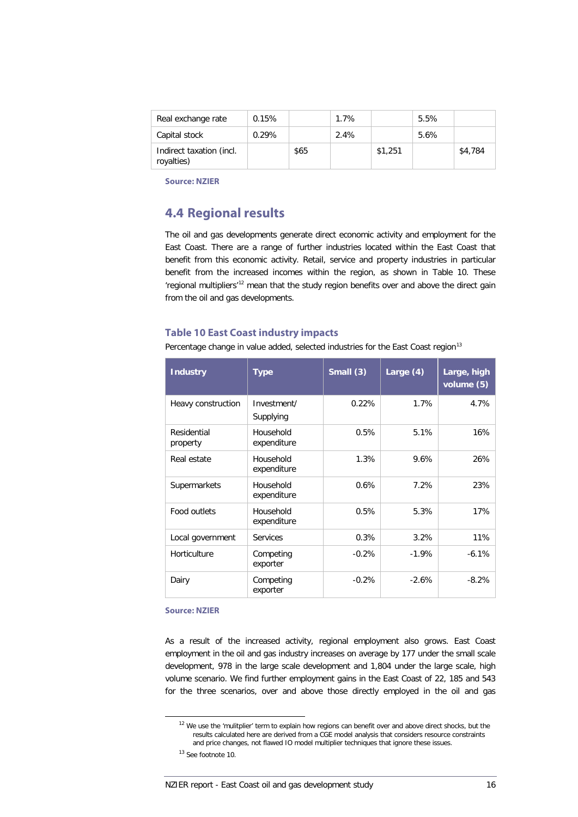| Real exchange rate                     | 0.15% |      | 1.7% |         | 5.5% |         |
|----------------------------------------|-------|------|------|---------|------|---------|
| Capital stock                          | 0.29% |      | 2.4% |         | 5.6% |         |
| Indirect taxation (incl.<br>royalties) |       | \$65 |      | \$1,251 |      | \$4,784 |

**Source: NZIER**

## **4.4 Regional results**

The oil and gas developments generate direct economic activity and employment for the East Coast. There are a range of further industries located within the East Coast that benefit from this economic activity. Retail, service and property industries in particular benefit from the increased incomes within the region, as shown in [Table 10.](#page-23-0) These 'regional multipliers'<sup>[12](#page-22-0)</sup> mean that the study region benefits over and above the direct gain from the oil and gas developments.

#### <span id="page-23-0"></span>**Table 10 East Coast industry impacts**

Percentage change in value added, selected industries for the East Coast region<sup>[13](#page-23-1)</sup>

| <b>Industry</b>         | <b>Type</b>              | Small (3) | Large $(4)$ | Large, high<br>volume (5) |
|-------------------------|--------------------------|-----------|-------------|---------------------------|
| Heavy construction      | Investment/<br>Supplying | 0.22%     | 1.7%        | 4.7%                      |
| Residential<br>property | Household<br>expenditure | 0.5%      | 5.1%        | 16%                       |
| Real estate             | Household<br>expenditure | 1.3%      | 9.6%        | 26%                       |
| Supermarkets            | Household<br>expenditure | 0.6%      | 7.2%        | 23%                       |
| Food outlets            | Household<br>expenditure | 0.5%      | 5.3%        | 17%                       |
| Local government        | <b>Services</b>          | 0.3%      | 3.2%        | 11%                       |
| Horticulture            | Competing<br>exporter    | $-0.2%$   | $-1.9%$     | $-6.1%$                   |
| Dairy                   | Competing<br>exporter    | $-0.2%$   | $-2.6%$     | $-8.2%$                   |

#### **Source: NZIER**

As a result of the increased activity, regional employment also grows. East Coast employment in the oil and gas industry increases on average by 177 under the small scale development, 978 in the large scale development and 1,804 under the large scale, high volume scenario. We find further employment gains in the East Coast of 22, 185 and 543 for the three scenarios, over and above those directly employed in the oil and gas

<span id="page-23-2"></span> $12$  We use the 'mulitplier' term to explain how regions can benefit over and above direct shocks, but the results calculated here are derived from a CGE model analysis that considers resource constraints and price changes, not flawed IO model multiplier techniques that ignore these issues.

<span id="page-23-1"></span><sup>13</sup> See footnote 10.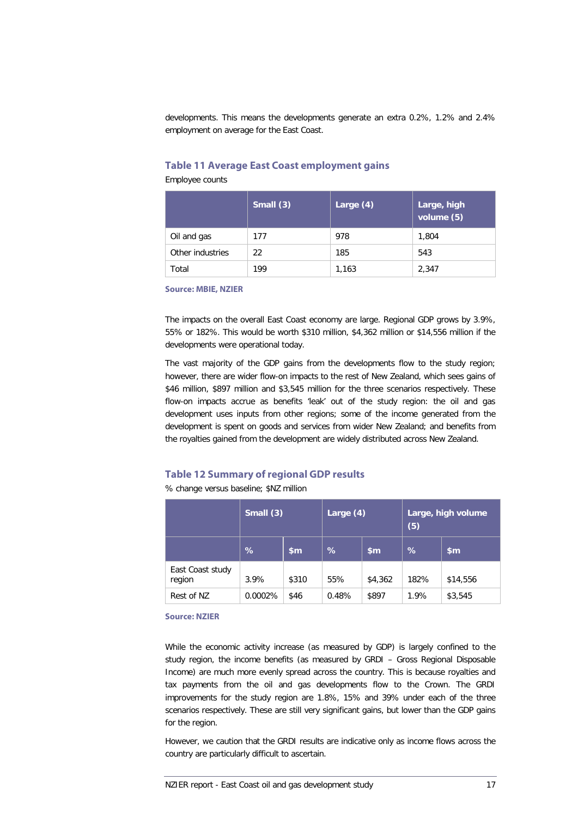developments. This means the developments generate an extra 0.2%, 1.2% and 2.4% employment on average for the East Coast.

#### **Table 11 Average East Coast employment gains**

Employee counts

|                  | Small $(3)$ | Large $(4)$ | Large, high<br>volume $(5)$ |
|------------------|-------------|-------------|-----------------------------|
| Oil and gas      | 177         | 978         | 1,804                       |
| Other industries | 22          | 185         | 543                         |
| Total            | 199         | 1.163       | 2.347                       |

**Source: MBIE, NZIER**

The impacts on the overall East Coast economy are large. Regional GDP grows by 3.9%, 55% or 182%. This would be worth \$310 million, \$4,362 million or \$14,556 million if the developments were operational today.

The vast majority of the GDP gains from the developments flow to the study region; however, there are wider flow-on impacts to the rest of New Zealand, which sees gains of \$46 million, \$897 million and \$3,545 million for the three scenarios respectively. These flow-on impacts accrue as benefits 'leak' out of the study region: the oil and gas development uses inputs from other regions; some of the income generated from the development is spent on goods and services from wider New Zealand; and benefits from the royalties gained from the development are widely distributed across New Zealand.

#### **Table 12 Summary of regional GDP results**

% change versus baseline; \$NZ million

|                            | $\overline{\text{Small (3)}}$ |               | Large (4) |         | Large, high volume<br>(5) |          |
|----------------------------|-------------------------------|---------------|-----------|---------|---------------------------|----------|
|                            | %                             | $\mathsf{sm}$ | %         | \$m     | $\frac{1}{2}$             | \$m      |
| East Coast study<br>region | 3.9%                          | \$310         | 55%       | \$4,362 | 182%                      | \$14,556 |
| Rest of NZ                 | 0.0002%                       | \$46          | 0.48%     | \$897   | 1.9%                      | \$3,545  |

**Source: NZIER**

While the economic activity increase (as measured by GDP) is largely confined to the study region, the income benefits (as measured by GRDI – Gross Regional Disposable Income) are much more evenly spread across the country. This is because royalties and tax payments from the oil and gas developments flow to the Crown. The GRDI improvements for the study region are 1.8%, 15% and 39% under each of the three scenarios respectively. These are still very significant gains, but lower than the GDP gains for the region.

However, we caution that the GRDI results are indicative only as income flows across the country are particularly difficult to ascertain.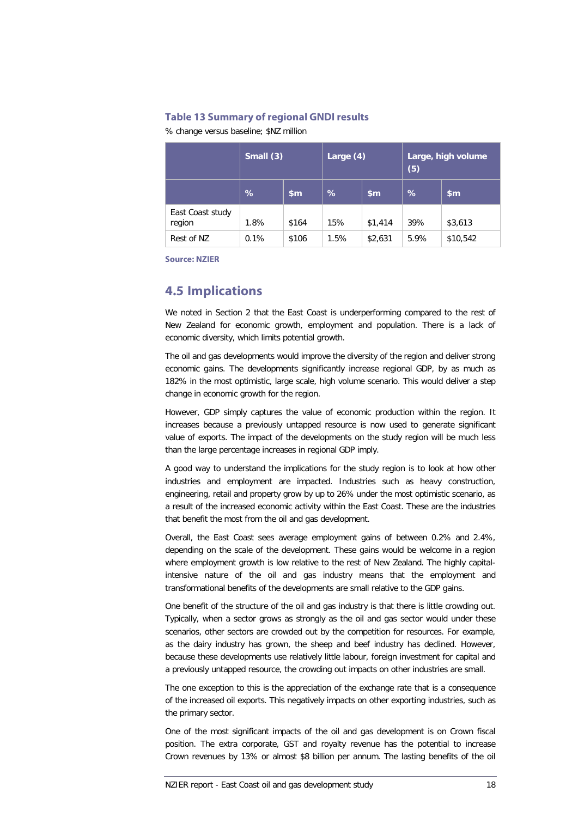#### **Table 13 Summary of regional GNDI results**

% change versus baseline; \$NZ million

|                            | Small (3) |               | Large $(4)$ |         | Large, high volume<br>(5) |               |
|----------------------------|-----------|---------------|-------------|---------|---------------------------|---------------|
|                            | %         | $\mathsf{sm}$ | %           | \$m\$   | %                         | $\mathsf{sm}$ |
| East Coast study<br>region | 1.8%      | \$164         | 15%         | \$1,414 | 39%                       | \$3,613       |
| Rest of NZ                 | 0.1%      | \$106         | 1.5%        | \$2,631 | 5.9%                      | \$10,542      |

**Source: NZIER**

### **4.5 Implications**

We noted in Section [2](#page-11-2) that the East Coast is underperforming compared to the rest of New Zealand for economic growth, employment and population. There is a lack of economic diversity, which limits potential growth.

The oil and gas developments would improve the diversity of the region and deliver strong economic gains. The developments significantly increase regional GDP, by as much as 182% in the most optimistic, large scale, high volume scenario. This would deliver a step change in economic growth for the region.

However, GDP simply captures the value of economic production within the region. It increases because a previously untapped resource is now used to generate significant value of exports. The impact of the developments on the study region will be much less than the large percentage increases in regional GDP imply.

A good way to understand the implications for the study region is to look at how other industries and employment are impacted. Industries such as heavy construction, engineering, retail and property grow by up to 26% under the most optimistic scenario, as a result of the increased economic activity within the East Coast. These are the industries that benefit the most from the oil and gas development.

Overall, the East Coast sees average employment gains of between 0.2% and 2.4%, depending on the scale of the development. These gains would be welcome in a region where employment growth is low relative to the rest of New Zealand. The highly capitalintensive nature of the oil and gas industry means that the employment and transformational benefits of the developments are small relative to the GDP gains.

One benefit of the structure of the oil and gas industry is that there is little crowding out. Typically, when a sector grows as strongly as the oil and gas sector would under these scenarios, other sectors are crowded out by the competition for resources. For example, as the dairy industry has grown, the sheep and beef industry has declined. However, because these developments use relatively little labour, foreign investment for capital and a previously untapped resource, the crowding out impacts on other industries are small.

The one exception to this is the appreciation of the exchange rate that is a consequence of the increased oil exports. This negatively impacts on other exporting industries, such as the primary sector.

One of the most significant impacts of the oil and gas development is on Crown fiscal position. The extra corporate, GST and royalty revenue has the potential to increase Crown revenues by 13% or almost \$8 billion per annum. The lasting benefits of the oil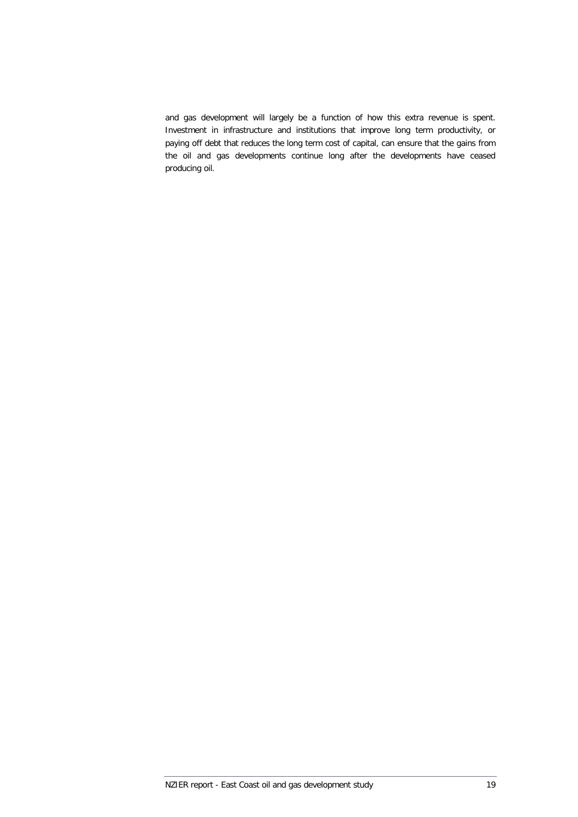and gas development will largely be a function of how this extra revenue is spent. Investment in infrastructure and institutions that improve long term productivity, or paying off debt that reduces the long term cost of capital, can ensure that the gains from the oil and gas developments continue long after the developments have ceased producing oil.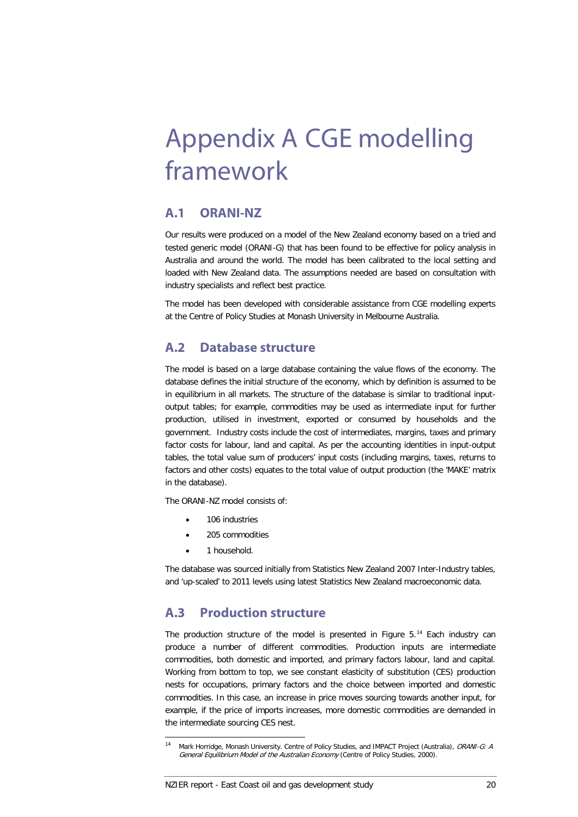# <span id="page-27-0"></span>Appendix A CGE modelling framework

### **A.1 ORANI-NZ**

Our results were produced on a model of the New Zealand economy based on a tried and tested generic model (ORANI-G) that has been found to be effective for policy analysis in Australia and around the world. The model has been calibrated to the local setting and loaded with New Zealand data. The assumptions needed are based on consultation with industry specialists and reflect best practice.

The model has been developed with considerable assistance from CGE modelling experts at the Centre of Policy Studies at Monash University in Melbourne Australia.

### **A.2 Database structure**

The model is based on a large database containing the value flows of the economy. The database defines the initial structure of the economy, which by definition is assumed to be in equilibrium in all markets. The structure of the database is similar to traditional inputoutput tables; for example, commodities may be used as intermediate input for further production, utilised in investment, exported or consumed by households and the government. Industry costs include the cost of intermediates, margins, taxes and primary factor costs for labour, land and capital. As per the accounting identities in input-output tables, the total value sum of producers' input costs (including margins, taxes, returns to factors and other costs) equates to the total value of output production (the 'MAKE' matrix in the database).

The ORANI-NZ model consists of:

- 106 industries
- 205 commodities
- 1 household.

The database was sourced initially from Statistics New Zealand 2007 Inter-Industry tables, and 'up-scaled' to 2011 levels using latest Statistics New Zealand macroeconomic data.

### **A.3 Production structure**

The production structure of the model is presented in [Figure 5.](#page-28-0)<sup>[14](#page-23-2)</sup> Each industry can produce a number of different commodities. Production inputs are intermediate commodities, both domestic and imported, and primary factors labour, land and capital. Working from bottom to top, we see constant elasticity of substitution (CES) production nests for occupations, primary factors and the choice between imported and domestic commodities. In this case, an increase in price moves sourcing towards another input, for example, if the price of imports increases, more domestic commodities are demanded in the intermediate sourcing CES nest.

<span id="page-27-1"></span><sup>14</sup> Mark Horridge, Monash University. Centre of Policy Studies, and IMPACT Project (Australia), ORANI-G: A General Equilibrium Model of the Australian Economy (Centre of Policy Studies, 2000).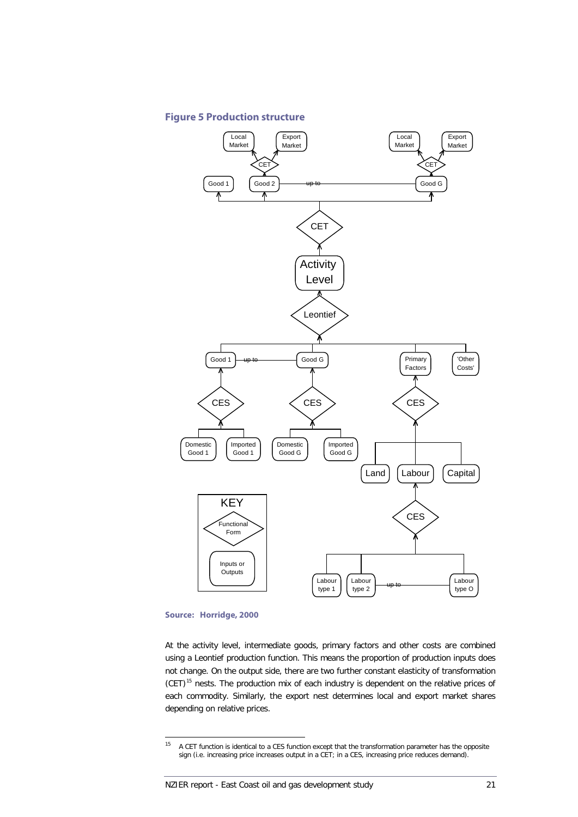

# <span id="page-28-0"></span>**Figure 5 Production structure**

#### **Source: Horridge, 2000**

At the activity level, intermediate goods, primary factors and other costs are combined using a Leontief production function. This means the proportion of production inputs does not change. On the output side, there are two further constant elasticity of transformation  $(CET)^{15}$  $(CET)^{15}$  $(CET)^{15}$  nests. The production mix of each industry is dependent on the relative prices of each commodity. Similarly, the export nest determines local and export market shares depending on relative prices.

<sup>&</sup>lt;sup>15</sup> A CET function is identical to a CES function except that the transformation parameter has the opposite sign (i.e. increasing price increases output in a CET; in a CES, increasing price reduces demand).